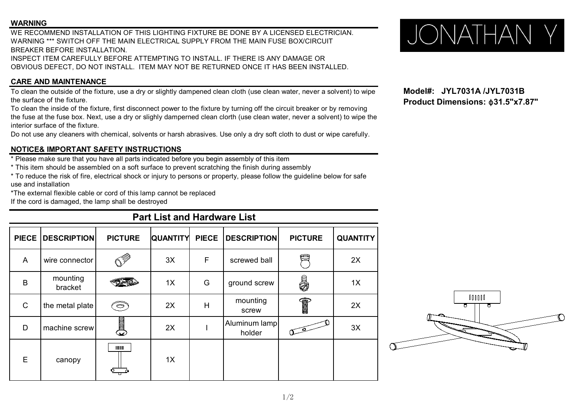## **WARNING**

WE RECOMMEND INSTALLATION OF THIS LIGHTING FIXTURE BE DONE BY A LICENSED ELECTRICIAN. WARNING WARNING INSTALLATION OF THIS LIGHTING FIXTURE BE DONE BY A LICENSED ELECTRICIAN.<br>WARNING \*\*\* SWITCH OFF THE MAIN ELECTRICAL SUPPLY FROM THE MAIN FUSE BOX/CIRCUIT BREAKER BEFORE INSTALLATION. INSPECT ITEM CAREFULLY BEFORE ATTEMPTING TO INSTALL. IF THERE IS ANY DAMAGE OR OBVIOUS DEFECT, DO NOT INSTALL. ITEM MAY NOT BE RETURNED ONCE IT HAS BEEN INSTALLED.

**CARE AND MAINTENANCE**

To clean the outside of the fixture, use a dry or slightly dampened clean cloth (use clean water, never a solvent) to wipe **Model#:** JYL7031A /JYL7031B<br>**Product Dimensions:** \$31.5"x7.87" the surface of the fixture.

To clean the inside of the fixture, first disconnect power to the fixture by turning off the circuit breaker or by removing the fuse at the fuse box. Next, use a dry or slighly damperned clean clorth (use clean water, never a solvent) to wipe the interior surface of the fixture.

Do not use any cleaners with chemical, solvents or harsh abrasives. Use only a dry soft cloth to dust or wipe carefully.

## **NOTICE& IMPORTANT SAFETY INSTRUCTIONS**

\* Please make sure that you have all parts indicated before you begin assembly of this item

\* This item should be assembled on a soft surface to prevent scratching the finish during assembly

\* To reduce the risk of fire, electrical shock or injury to persons or property, please follow the guideline below for safe use and installation

\*The external flexible cable or cord of this lamp cannot be replaced

If the cord is damaged, the lamp shall be destroyed

## **Part List and Hardware List**

|              | PIECE   DESCRIPTION | <b>PICTURE</b>                                                                                         | <b>QUANTITY</b> | <b>PIECE</b> | <b>DESCRIPTION</b>      | <b>PICTURE</b>                                                                                                                                                                                                                                                                                                                                | <b>QUANTITY</b> |
|--------------|---------------------|--------------------------------------------------------------------------------------------------------|-----------------|--------------|-------------------------|-----------------------------------------------------------------------------------------------------------------------------------------------------------------------------------------------------------------------------------------------------------------------------------------------------------------------------------------------|-----------------|
| A            | wire connector      | $\mathbb{C}^{\mathbb{Z}}$                                                                              | 3X              | F            | screwed ball            | É)                                                                                                                                                                                                                                                                                                                                            | 2X              |
| B            | mounting<br>bracket |                                                                                                        | 1X              | G            | ground screw            | 5                                                                                                                                                                                                                                                                                                                                             | 1X              |
| $\mathsf{C}$ | the metal plate     | O)                                                                                                     | 2X              | H            | mounting<br>screw       | $\begin{picture}(20,20) \put(0,0){\line(1,0){100}} \put(15,0){\line(1,0){100}} \put(15,0){\line(1,0){100}} \put(15,0){\line(1,0){100}} \put(15,0){\line(1,0){100}} \put(15,0){\line(1,0){100}} \put(15,0){\line(1,0){100}} \put(15,0){\line(1,0){100}} \put(15,0){\line(1,0){100}} \put(15,0){\line(1,0){100}} \put(15,0){\line(1,0){100}} \$ | 2X              |
| D            | machine screw       | $\begin{smallmatrix} \leftarrow & \mathbb{R} \ \mathbb{D} & \mathbb{D} & \mathbb{D} \end{smallmatrix}$ | 2X              |              | Aluminum lamp<br>holder | $\widehat{\circ}$                                                                                                                                                                                                                                                                                                                             | 3X              |
| E            | canopy              | $\blacksquare$                                                                                         | 1X              |              |                         |                                                                                                                                                                                                                                                                                                                                               |                 |



**Model#: JYL7031A /JYL7031B**